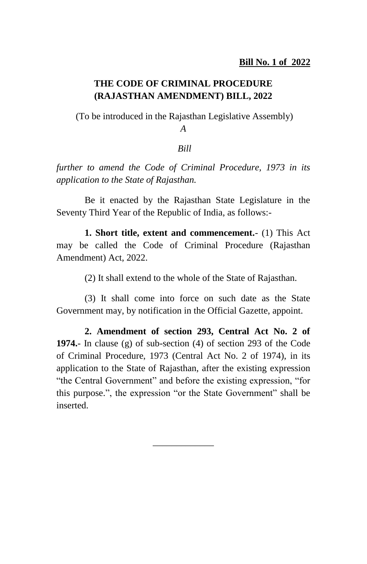### **THE CODE OF CRIMINAL PROCEDURE (RAJASTHAN AMENDMENT) BILL, 2022**

(To be introduced in the Rajasthan Legislative Assembly)

*A*

### *Bill*

*further to amend the Code of Criminal Procedure, 1973 in its application to the State of Rajasthan.*

Be it enacted by the Rajasthan State Legislature in the Seventy Third Year of the Republic of India, as follows:-

**1. Short title, extent and commencement.**- (1) This Act may be called the Code of Criminal Procedure (Rajasthan Amendment) Act, 2022.

(2) It shall extend to the whole of the State of Rajasthan.

(3) It shall come into force on such date as the State Government may, by notification in the Official Gazette, appoint.

**2. Amendment of section 293, Central Act No. 2 of 1974.**- In clause (g) of sub-section (4) of section 293 of the Code of Criminal Procedure, 1973 (Central Act No. 2 of 1974), in its application to the State of Rajasthan, after the existing expression "the Central Government" and before the existing expression, "for this purpose.", the expression "or the State Government" shall be inserted.

\_\_\_\_\_\_\_\_\_\_\_\_\_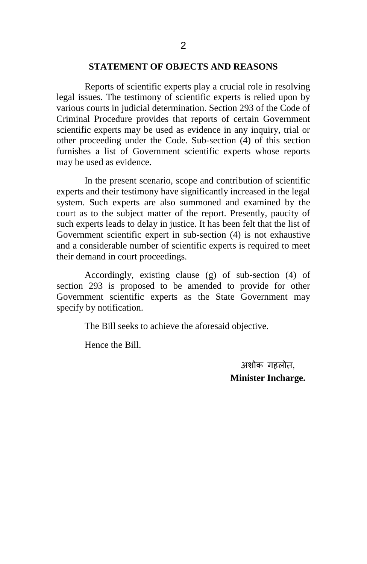#### **STATEMENT OF OBJECTS AND REASONS**

Reports of scientific experts play a crucial role in resolving legal issues. The testimony of scientific experts is relied upon by various courts in judicial determination. Section 293 of the Code of Criminal Procedure provides that reports of certain Government scientific experts may be used as evidence in any inquiry, trial or other proceeding under the Code. Sub-section (4) of this section furnishes a list of Government scientific experts whose reports may be used as evidence.

In the present scenario, scope and contribution of scientific experts and their testimony have significantly increased in the legal system. Such experts are also summoned and examined by the court as to the subject matter of the report. Presently, paucity of such experts leads to delay in justice. It has been felt that the list of Government scientific expert in sub-section (4) is not exhaustive and a considerable number of scientific experts is required to meet their demand in court proceedings.

Accordingly, existing clause (g) of sub-section (4) of section 293 is proposed to be amended to provide for other Government scientific experts as the State Government may specify by notification.

The Bill seeks to achieve the aforesaid objective.

Hence the Bill.

अशोक गहलोत, **Minister Incharge.**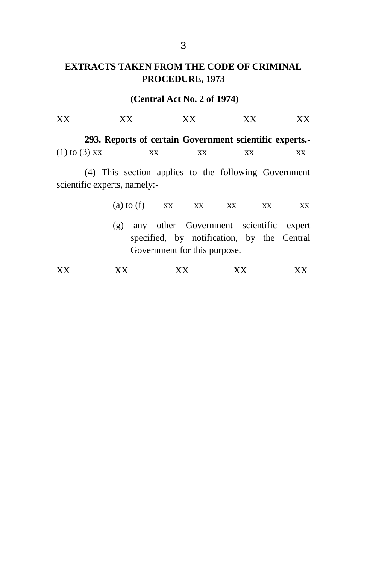## **EXTRACTS TAKEN FROM THE CODE OF CRIMINAL PROCEDURE, 1973**

**(Central Act No. 2 of 1974)**

| XX                                                                                   | ХX                                                     |                              | ХX  | XX. | XX.                                                                                  |
|--------------------------------------------------------------------------------------|--------------------------------------------------------|------------------------------|-----|-----|--------------------------------------------------------------------------------------|
|                                                                                      | 293. Reports of certain Government scientific experts. |                              |     |     |                                                                                      |
| $(1)$ to $(3)$ xx                                                                    |                                                        | XX                           | XX. | XX  | XX.                                                                                  |
| (4) This section applies to the following Government<br>scientific experts, namely:- |                                                        |                              |     |     |                                                                                      |
|                                                                                      |                                                        | (a) to (f) $XX$ $XX$         |     | XX  | XX.<br>XX.                                                                           |
|                                                                                      | (g)                                                    | Government for this purpose. |     |     | any other Government scientific expert<br>specified, by notification, by the Central |
| XX.                                                                                  | X X                                                    | X X                          |     |     |                                                                                      |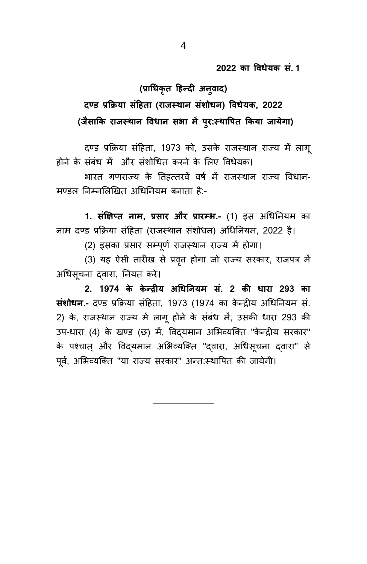**2022 का विधेयक सं. 1**

### **(प्राधधकृत हिन्दी अनिु ाद)**

## दण्ड प्रक्रिया संहिता (राजस्थान संशोधन) विधेयक, 2022 (जैसाकि राजस्थान विधान सभा में प्**र:स्थापित किया जायेगा**)

दण्ड प्रक्रिया संहिता, 1973 को, उसके राजस्थान राज्य में लागू होने के संबंध में और संशोधित करने के लिए विधेयक।

भारत गणराज्य के तिहत्तरवें वर्ष में राजस्थान राज्य विधान-मण्डल निम्नलिखित अधिनियम बनाता है:-

1. संक्षिप्त नाम, प्रसार और प्रारम्भ.- (1) इस अधिनियम का नाम दण्ड प्रक्रिया संहिता (राजस्थान संशोधन) अधिनियम, 2022 है।

(2) इसका प्रसार सम्पूर्ण राजस्थान राज्य में होगा।

(3) यह ऐसी तारीख से प्रवृत होगा जो राज्य सरकार, राजपत्र में अधिसूचना दवारा, नियत करे।

2. 1974 **के केन्द्रीय अधिनियम सं. 2 की धारा 293** का **संशोधन.-** दण्ड प्रक्रिया संहिता, 1973 (1974 का केन्द्रीय अधिनियम सं. 2) के, राजस्थान राज्य में लागू होने के संबंध में, उसकी धारा 293 की उप-धारा (4) के खण्ड (छ) में, विद्यमान अभिव्यक्ति "केन्द्रीय सरकार" के पश्चात् और विद्**यमान अभिव्यक्ति "द्**वारा, अधिसूचना द्**वारा" से** पूर्व, अभिव्यक्ति "या राज्य सरकार" अन्त:स्थापित की जायेगी।

 $\overline{\phantom{a}}$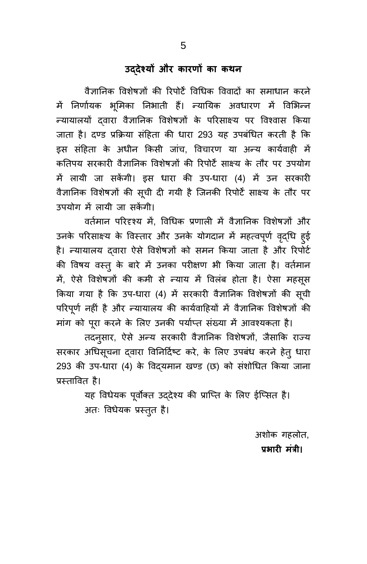## उद्**देश्यों और कारणों का कथ**न

वैज्ञानिक विशेषज्ञों की रिपोर्टें विधिक विवादों का समाधान करने में निर्णायक भूमिका निभाती हैं। न्यायिक अवधारण में विभिन्न न्यायालयों दवारा वैज्ञानिक विशेषज्ञों के परिसाक्ष्य पर विश्वास किया जाता है। दण्ड प्रक्रिया संहिता की धारा 293 यह उपबंधित करती है कि इस संहिता के अधीन किसी जांच, विचारण या अन्य कार्यवाही में कतिपय सरकारी वैज्ञानिक विशेषज्ञों की रिपोर्टें साक्ष्य के तौर पर उपयोग में लायी जा सकेंगी। इस धारा की उप-धारा (4) में उन सरकारी वैज्ञानिक विशेषज्ञों की सूची दी गयी है जिनकी रिपोर्टे साक्ष्य के तौर पर उपयोग में लायी जा सकेंगी।

वर्तमान परिदृश्य में, विधिक प्रणाली में वैज्ञानिक विशेषज्ञों और उनके परिसाक्ष्य के विस्तार और उनके योगदान में महत्वपूर्ण वृद्धि हुई है। न्यायालय द्वारा ऐसे विशेषज्ञों को समन किया जाता है और रिपोर्ट की विषय वस्तु के बारे में उनका परीक्षण भी किया जाता है। वर्तमान में, ऐसे विशेषज्ञों की कमी से न्याय में विलंब होता है। ऐसा महसूस किया गया है कि उप-धारा (4) में सरकारी वैज्ञानिक विशेषज्ञों की सूची परिपूर्ण नहीं है और न्यायालय की कार्यवाहियों में वैज्ञानिक विशेषज्ञों की मांग को पूरा करने के लिए उनकी पर्याप्त संख्या में आवश्यकता है।

तदनुसार, ऐसे अन्य सरकारी वैज्ञानिक विशेषज्ञों, जैसाकि राज्य सरकार अधिसूचना दवारा विनिर्दिष्ट करे, के लिए उपबंध करने हेतु धारा 293 की उप-धारा (4) के विद्यमान खण्ड (छ) को संशोधित किया जाना प्रस्तावित है।

> यह विधेयक पूर्वोक्त उद्देश्य की प्राप्ति के लिए ईप्सित है। अतः विधेयक प्रस्तुत है।

> > अशोक गहलोत,

प्रभारी मंत्री।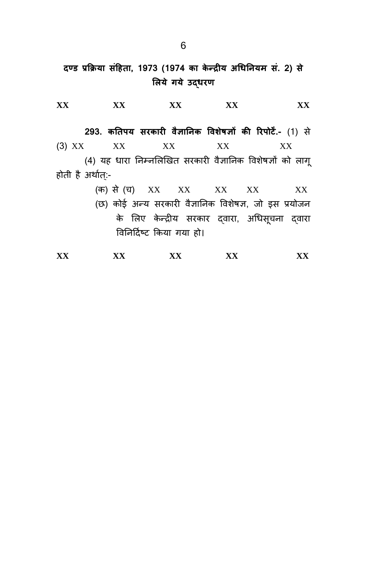दण्ड प्रक्रिया संहिता, 1973 (1974 का केन्द्रीय अधिनियम सं. 2) से **लिये ये उद्धा** 

# **XX XX XX XX XX** 293. कतिपय सरकारी वैज्ञानिक विशेषज्ञों की रिपोर्टें.- (1) से (3) XX XX XX XX XX (4) यह धारा निम्नलिखित सरकारी वैज्ञानिक विशेषज्ञों को लागू होती है अर्थात:-(क) से (च) XX XX XX XX XX (छ) कोई अन्य सरकारी वैज्ञानिक विशेषज्ञ, जो इस प्रयोजन के लिए केन्द्रीय सरकार द्वारा, अधिसूचना द्वारा विनिर्दिष्ट किया गया हो।

**XX XX XX XX XX**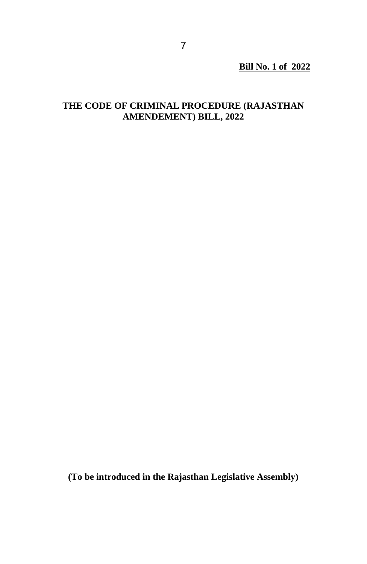**Bill No. 1 of 2022**

## **THE CODE OF CRIMINAL PROCEDURE (RAJASTHAN AMENDEMENT) BILL, 2022**

**(To be introduced in the Rajasthan Legislative Assembly)**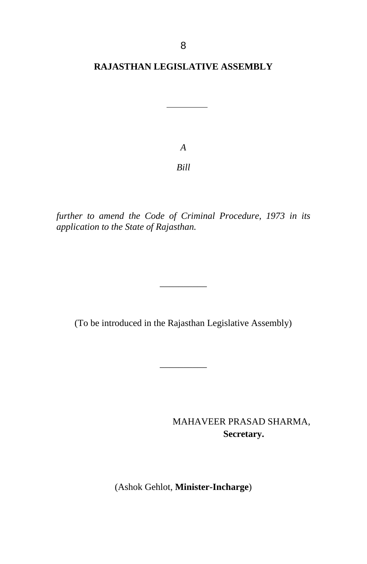### **RAJASTHAN LEGISLATIVE ASSEMBLY**

*A*

*Bill*

*further to amend the Code of Criminal Procedure, 1973 in its application to the State of Rajasthan.*

(To be introduced in the Rajasthan Legislative Assembly)

\_\_\_\_\_\_\_\_\_\_

\_\_\_\_\_\_\_\_\_\_

MAHAVEER PRASAD SHARMA,  **Secretary.**

(Ashok Gehlot, **Minister-Incharge**)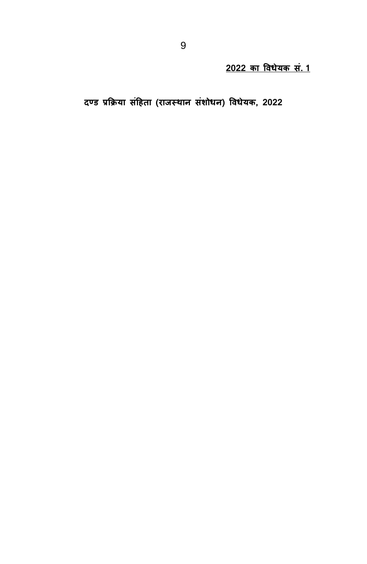**का विधेयक सं. 1** 

दण्ड प्रक्रिया संहिता (राजस्थान संशोधन) विधेयक, 2022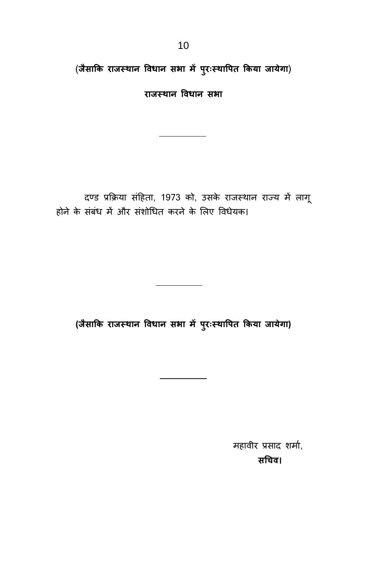(जैसाकि राजस्थान विधान सभा में पुरःस्थापित किया जायेगा)

**ाास् ान विधान स ा**

दण्ड प्रक्रिया संहिता, 1973 को, उसके राजस्थान राज्य में लागू होने के संबंध में और संशोधित करने के लिए विधेयक।

**(सैसा्क ाास् ान विधान स ा ं पराुः् ावरत ्कया साये ा)**

महावीर प्रसाद शर्मा, **सधिि।**